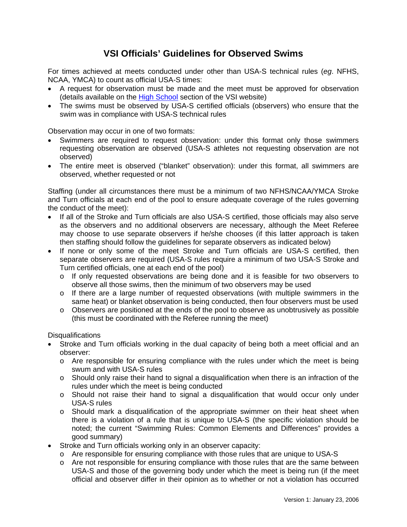## **VSI Officials' Guidelines for Observed Swims**

For times achieved at meets conducted under other than USA-S technical rules (*eg*. NFHS, NCAA, YMCA) to count as official USA-S times:

- A request for observation must be made and the meet must be approved for observation (details available on the [High School](http://virginiaswimming.org/High%20School%20Swimming.htm) section of the VSI website)
- The swims must be observed by USA-S certified officials (observers) who ensure that the swim was in compliance with USA-S technical rules

Observation may occur in one of two formats:

- Swimmers are required to request observation: under this format only those swimmers requesting observation are observed (USA-S athletes not requesting observation are not observed)
- The entire meet is observed ("blanket" observation): under this format, all swimmers are observed, whether requested or not

Staffing (under all circumstances there must be a minimum of two NFHS/NCAA/YMCA Stroke and Turn officials at each end of the pool to ensure adequate coverage of the rules governing the conduct of the meet):

- If all of the Stroke and Turn officials are also USA-S certified, those officials may also serve as the observers and no additional observers are necessary, although the Meet Referee may choose to use separate observers if he/she chooses (if this latter approach is taken then staffing should follow the guidelines for separate observers as indicated below)
- If none or only some of the meet Stroke and Turn officials are USA-S certified, then separate observers are required (USA-S rules require a minimum of two USA-S Stroke and Turn certified officials, one at each end of the pool)
	- $\circ$  If only requested observations are being done and it is feasible for two observers to observe all those swims, then the minimum of two observers may be used
	- o If there are a large number of requested observations (with multiple swimmers in the same heat) or blanket observation is being conducted, then four observers must be used
	- $\circ$  Observers are positioned at the ends of the pool to observe as unobtrusively as possible (this must be coordinated with the Referee running the meet)

**Disqualifications** 

- Stroke and Turn officials working in the dual capacity of being both a meet official and an observer:
	- $\circ$  Are responsible for ensuring compliance with the rules under which the meet is being swum and with USA-S rules
	- $\circ$  Should only raise their hand to signal a disqualification when there is an infraction of the rules under which the meet is being conducted
	- o Should not raise their hand to signal a disqualification that would occur only under USA-S rules
	- o Should mark a disqualification of the appropriate swimmer on their heat sheet when there is a violation of a rule that is unique to USA-S (the specific violation should be noted; the current "Swimming Rules: Common Elements and Differences" provides a good summary)
- Stroke and Turn officials working only in an observer capacity:
	- o Are responsible for ensuring compliance with those rules that are unique to USA-S
	- o Are not responsible for ensuring compliance with those rules that are the same between USA-S and those of the governing body under which the meet is being run (if the meet official and observer differ in their opinion as to whether or not a violation has occurred